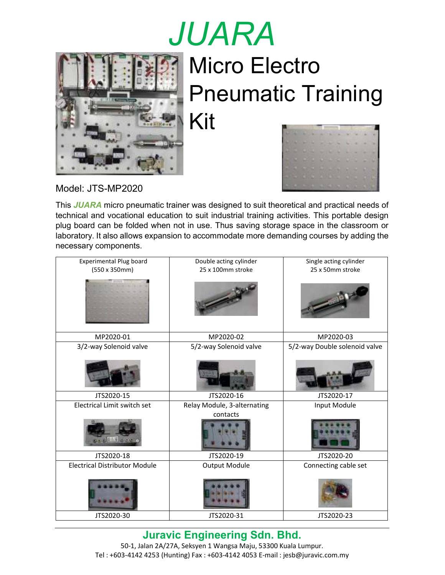## *JUARA* Micro Electro Pneumatic Training Kit



|         | ٠         |                                                                              |                                                                                                                                                                                                                                                 |                                 |               |                           |           |   |
|---------|-----------|------------------------------------------------------------------------------|-------------------------------------------------------------------------------------------------------------------------------------------------------------------------------------------------------------------------------------------------|---------------------------------|---------------|---------------------------|-----------|---|
| ۰       | ۰         |                                                                              |                                                                                                                                                                                                                                                 |                                 | ×             | <b>STATE</b><br><b>MA</b> | ×         | ٠ |
|         | w         | <b>Contract Contract</b><br><b>Barriet Corporation</b><br><b>State State</b> | ×<br>a se                                                                                                                                                                                                                                       | a a<br><b>STATISTICS</b>        | ٠<br>÷<br>a a | A.<br>×<br>. .            | ٠         | ٠ |
| C.<br>÷ | m.<br>a a | ٠<br>٠<br><b>MARKET</b><br>. .                                               | ÷                                                                                                                                                                                                                                               | ٠                               | ٠             | me.                       |           | ٠ |
| ٠<br>I  | ٠<br>٠    | 57<br>٠<br><br>٠<br>٠<br>٠                                                   | a a<br><b>COL</b>                                                                                                                                                                                                                               | ٠                               | ۰<br>٠        | n ar<br><b>Marine</b>     | ×         | × |
| ۰       | ۰         | ٠<br>٠<br>u i<br>٠<br>٠<br>۰                                                 | ٠                                                                                                                                                                                                                                               | . .<br><b>Contract Contract</b> |               | ٠<br>٠<br>٠               | ٠<br>٠    | ٠ |
| O<br>╸  | ٠<br>٠    | ٠<br>٠<br>۰                                                                  |                                                                                                                                                                                                                                                 | و ک<br><b>State Street</b>      |               | ٠<br>٠<br>٠<br>٠          | C.<br>٠   | ы |
|         | ٠         | m a<br>٠<br>╸                                                                | <b>The Contract of the Contract of the Contract of the Contract of the Contract of the Contract of the Contract of the Contract of the Contract of the Contract of the Contract of the Contract of the Contract of the Contract </b><br>and the | <br>a s                         | ٠<br>۰        | ٠<br>٠<br>٠               | a an<br>٠ | ٠ |

Model: JTS-MP2020

This *JUARA* micro pneumatic trainer was designed to suit theoretical and practical needs of technical and vocational education to suit industrial training activities. This portable design plug board can be folded when not in use. Thus saving storage space in the classroom or laboratory. It also allows expansion to accommodate more demanding courses by adding the necessary components.

| <b>Experimental Plug board</b><br>$(550 \times 350$ mm $)$ | Double acting cylinder<br>25 x 100mm stroke | Single acting cylinder<br>25 x 50mm stroke |
|------------------------------------------------------------|---------------------------------------------|--------------------------------------------|
|                                                            |                                             |                                            |
| MP2020-01                                                  | MP2020-02                                   | MP2020-03                                  |
| 3/2-way Solenoid valve                                     | 5/2-way Solenoid valve                      | 5/2-way Double solenoid valve              |
|                                                            |                                             |                                            |
| JTS2020-15                                                 | JTS2020-16                                  | JTS2020-17                                 |
| Electrical Limit switch set                                | Relay Module, 3-alternating<br>contacts     | Input Module                               |
| $5 - 0.050$                                                |                                             |                                            |
| JTS2020-18                                                 | JTS2020-19                                  | JTS2020-20                                 |
| <b>Electrical Distributor Module</b>                       | <b>Output Module</b>                        | Connecting cable set                       |
|                                                            |                                             |                                            |
| JTS2020-30                                                 | JTS2020-31                                  | JTS2020-23                                 |

**Juravic Engineering Sdn. Bhd.** 

50-1, Jalan 2A/27A, Seksyen 1 Wangsa Maju, 53300 Kuala Lumpur. Tel : +603-4142 4253 (Hunting) Fax : +603-4142 4053 E-mail : jesb@juravic.com.my